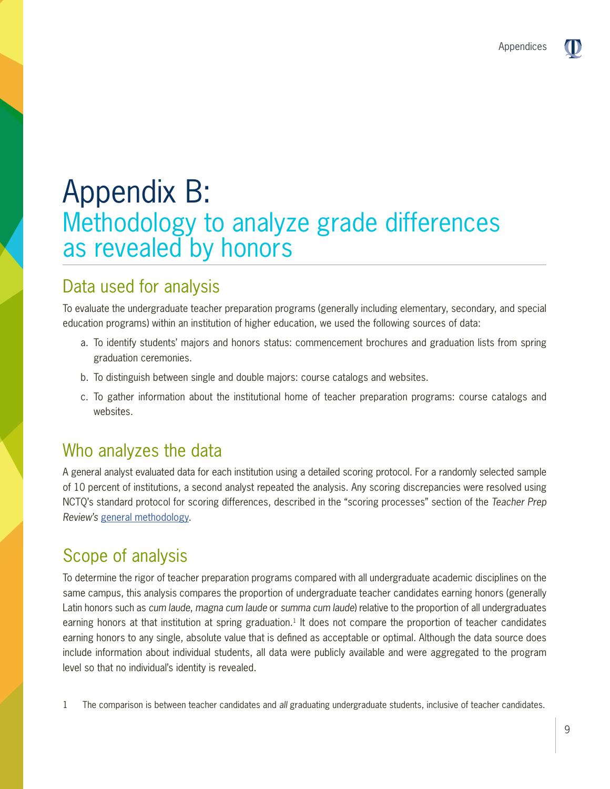# Appendix B: Methodology to analyze grade differences as revealed by honors

# Data used for analysis

To evaluate the undergraduate teacher preparation programs (generally including elementary, secondary, and special education programs) within an institution of higher education, we used the following sources of data:

- a. To identify students' majors and honors status: commencement brochures and graduation lists from spring graduation ceremonies.
- b. To distinguish between single and double majors: course catalogs and websites.
- c. To gather information about the institutional home of teacher preparation programs: course catalogs and websites.

## Who analyzes the data

A general analyst evaluated data for each institution using a detailed scoring protocol. For a randomly selected sample of 10 percent of institutions, a second analyst repeated the analysis. Any scoring discrepancies were resolved using NCTQ's standard protocol for scoring differences, described in the "scoring processes" section of the *Teacher Prep Review's* [general methodology](http://nctq.org/dmsView/GeneralMethodology).

# Scope of analysis

To determine the rigor of teacher preparation programs compared with all undergraduate academic disciplines on the same campus, this analysis compares the proportion of undergraduate teacher candidates earning honors (generally Latin honors such as *cum laude*, *magna cum laude* or *summa cum laude*) relative to the proportion of all undergraduates earning honors at that institution at spring graduation.<sup>1</sup> It does not compare the proportion of teacher candidates earning honors to any single, absolute value that is defined as acceptable or optimal. Although the data source does include information about individual students, all data were publicly available and were aggregated to the program level so that no individual's identity is revealed.

1 The comparison is between teacher candidates and *all* graduating undergraduate students, inclusive of teacher candidates.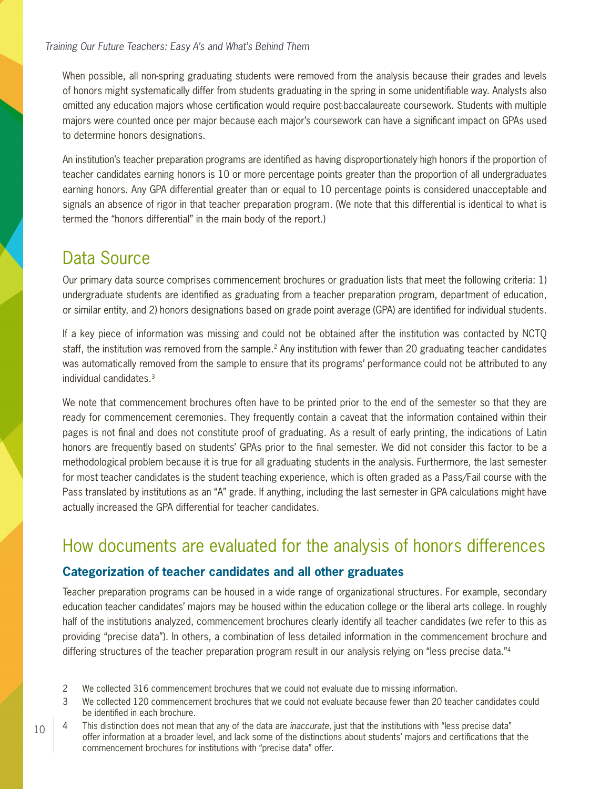When possible, all non-spring graduating students were removed from the analysis because their grades and levels of honors might systematically differ from students graduating in the spring in some unidentifiable way. Analysts also omitted any education majors whose certification would require post-baccalaureate coursework. Students with multiple majors were counted once per major because each major's coursework can have a significant impact on GPAs used to determine honors designations.

An institution's teacher preparation programs are identified as having disproportionately high honors if the proportion of teacher candidates earning honors is 10 or more percentage points greater than the proportion of all undergraduates earning honors. Any GPA differential greater than or equal to 10 percentage points is considered unacceptable and signals an absence of rigor in that teacher preparation program. (We note that this differential is identical to what is termed the "honors differential" in the main body of the report.)

## Data Source

10

Our primary data source comprises commencement brochures or graduation lists that meet the following criteria: 1) undergraduate students are identified as graduating from a teacher preparation program, department of education, or similar entity, and 2) honors designations based on grade point average (GPA) are identified for individual students.

If a key piece of information was missing and could not be obtained after the institution was contacted by NCTQ staff, the institution was removed from the sample.<sup>2</sup> Any institution with fewer than 20 graduating teacher candidates was automatically removed from the sample to ensure that its programs' performance could not be attributed to any individual candidates.3

We note that commencement brochures often have to be printed prior to the end of the semester so that they are ready for commencement ceremonies. They frequently contain a caveat that the information contained within their pages is not final and does not constitute proof of graduating. As a result of early printing, the indications of Latin honors are frequently based on students' GPAs prior to the final semester. We did not consider this factor to be a methodological problem because it is true for all graduating students in the analysis. Furthermore, the last semester for most teacher candidates is the student teaching experience, which is often graded as a Pass/Fail course with the Pass translated by institutions as an "A" grade. If anything, including the last semester in GPA calculations might have actually increased the GPA differential for teacher candidates.

## How documents are evaluated for the analysis of honors differences

### **Categorization of teacher candidates and all other graduates**

Teacher preparation programs can be housed in a wide range of organizational structures. For example, secondary education teacher candidates' majors may be housed within the education college or the liberal arts college. In roughly half of the institutions analyzed, commencement brochures clearly identify all teacher candidates (we refer to this as providing "precise data"). In others, a combination of less detailed information in the commencement brochure and differing structures of the teacher preparation program result in our analysis relying on "less precise data."<sup>4</sup>

- 2 We collected 316 commencement brochures that we could not evaluate due to missing information.
- 3 We collected 120 commencement brochures that we could not evaluate because fewer than 20 teacher candidates could be identified in each brochure.
- 4 This distinction does not mean that any of the data are *inaccurate*, just that the institutions with "less precise data" offer information at a broader level, and lack some of the distinctions about students' majors and certifications that the commencement brochures for institutions with "precise data" offer.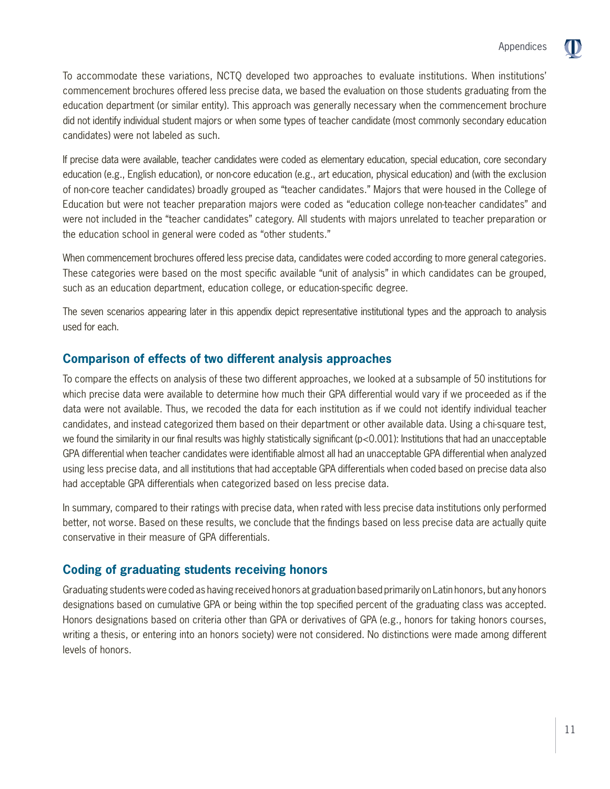To accommodate these variations, NCTQ developed two approaches to evaluate institutions. When institutions' commencement brochures offered less precise data, we based the evaluation on those students graduating from the education department (or similar entity). This approach was generally necessary when the commencement brochure did not identify individual student majors or when some types of teacher candidate (most commonly secondary education candidates) were not labeled as such.

If precise data were available, teacher candidates were coded as elementary education, special education, core secondary education (e.g., English education), or non-core education (e.g., art education, physical education) and (with the exclusion of non-core teacher candidates) broadly grouped as "teacher candidates." Majors that were housed in the College of Education but were not teacher preparation majors were coded as "education college non-teacher candidates" and were not included in the "teacher candidates" category. All students with majors unrelated to teacher preparation or the education school in general were coded as "other students."

When commencement brochures offered less precise data, candidates were coded according to more general categories. These categories were based on the most specific available "unit of analysis" in which candidates can be grouped, such as an education department, education college, or education-specific degree.

The seven scenarios appearing later in this appendix depict representative institutional types and the approach to analysis used for each.

#### **Comparison of effects of two different analysis approaches**

To compare the effects on analysis of these two different approaches, we looked at a subsample of 50 institutions for which precise data were available to determine how much their GPA differential would vary if we proceeded as if the data were not available. Thus, we recoded the data for each institution as if we could not identify individual teacher candidates, and instead categorized them based on their department or other available data. Using a chi-square test, we found the similarity in our final results was highly statistically significant (p<0.001): Institutions that had an unacceptable GPA differential when teacher candidates were identifiable almost all had an unacceptable GPA differential when analyzed using less precise data, and all institutions that had acceptable GPA differentials when coded based on precise data also had acceptable GPA differentials when categorized based on less precise data.

In summary, compared to their ratings with precise data, when rated with less precise data institutions only performed better, not worse. Based on these results, we conclude that the findings based on less precise data are actually quite conservative in their measure of GPA differentials.

### **Coding of graduating students receiving honors**

Graduating students were coded as having received honors at graduation based primarily on Latin honors, but any honors designations based on cumulative GPA or being within the top specified percent of the graduating class was accepted. Honors designations based on criteria other than GPA or derivatives of GPA (e.g., honors for taking honors courses, writing a thesis, or entering into an honors society) were not considered. No distinctions were made among different levels of honors.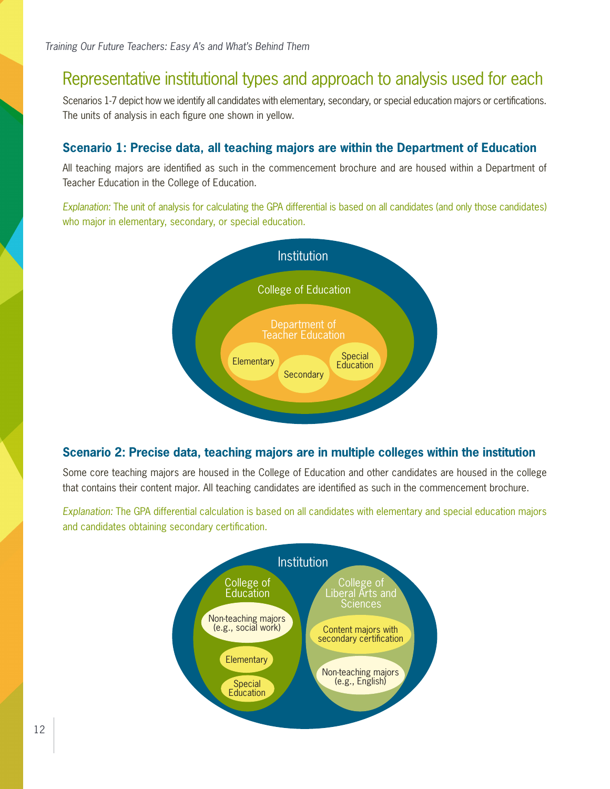### Representative institutional types and approach to analysis used for each

Scenarios 1-7 depict how we identify all candidates with elementary, secondary, or special education majors or certifications. The units of analysis in each figure one shown in yellow.

#### **Scenario 1: Precise data, all teaching majors are within the Department of Education**

All teaching majors are identified as such in the commencement brochure and are housed within a Department of Teacher Education in the College of Education.

*Explanation:* The unit of analysis for calculating the GPA differential is based on all candidates (and only those candidates) who major in elementary, secondary, or special education.



### **Scenario 2: Precise data, teaching majors are in multiple colleges within the institution**

Some core teaching majors are housed in the College of Education and other candidates are housed in the college that contains their content major. All teaching candidates are identified as such in the commencement brochure.

*Explanation:* The GPA differential calculation is based on all candidates with elementary and special education majors and candidates obtaining secondary certification.

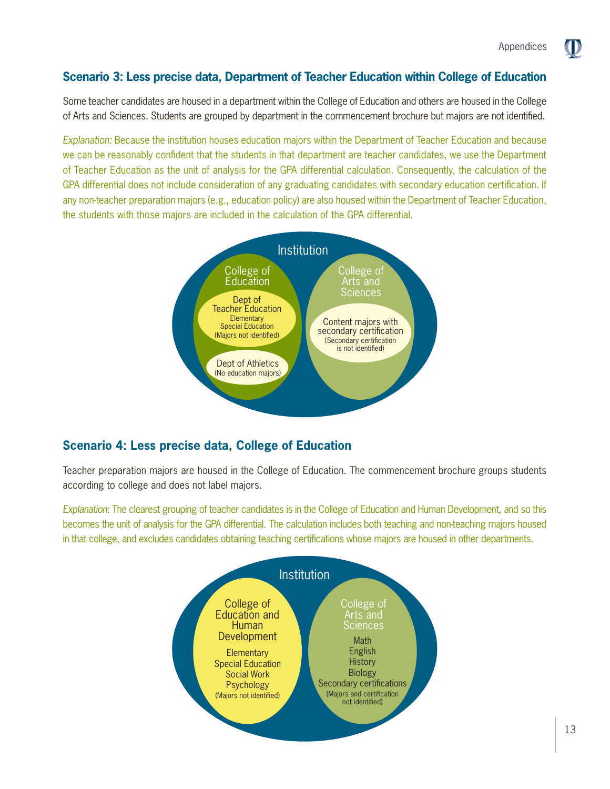O

### **Scenario 3: Less precise data, Department of Teacher Education within College of Education**

Some teacher candidates are housed in a department within the College of Education and others are housed in the College of Arts and Sciences. Students are grouped by department in the commencement brochure but majors are not identified.

*Explanation:* Because the institution houses education majors within the Department of Teacher Education and because we can be reasonably confident that the students in that department are teacher candidates, we use the Department of Teacher Education as the unit of analysis for the GPA differential calculation. Consequently, the calculation of the GPA differential does not include consideration of any graduating candidates with secondary education certification. If any non-teacher preparation majors (e.g., education policy) are also housed within the Department of Teacher Education, the students with those majors are included in the calculation of the GPA differential.



### **Scenario 4: Less precise data, College of Education**

Teacher preparation majors are housed in the College of Education. The commencement brochure groups students according to college and does not label majors.

*Explanation:* The clearest grouping of teacher candidates is in the College of Education and Human Development, and so this becomes the unit of analysis for the GPA differential. The calculation includes both teaching and non-teaching majors housed in that college, and excludes candidates obtaining teaching certifications whose majors are housed in other departments.

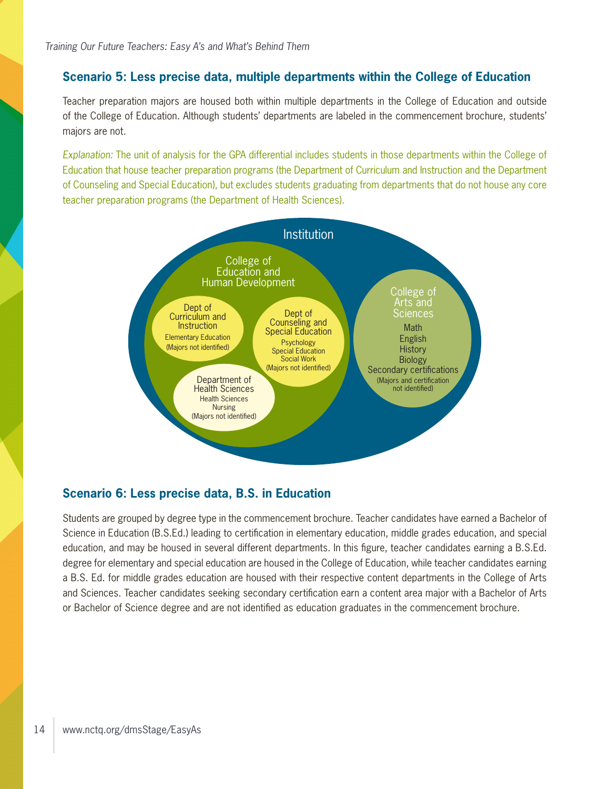#### **Scenario 5: Less precise data, multiple departments within the College of Education**

Teacher preparation majors are housed both within multiple departments in the College of Education and outside of the College of Education. Although students' departments are labeled in the commencement brochure, students' majors are not.

*Explanation:* The unit of analysis for the GPA differential includes students in those departments within the College of Education that house teacher preparation programs (the Department of Curriculum and Instruction and the Department of Counseling and Special Education), but excludes students graduating from departments that do not house any core teacher preparation programs (the Department of Health Sciences).



#### **Scenario 6: Less precise data, B.S. in Education**

Students are grouped by degree type in the commencement brochure. Teacher candidates have earned a Bachelor of Science in Education (B.S.Ed.) leading to certification in elementary education, middle grades education, and special education, and may be housed in several different departments. In this figure, teacher candidates earning a B.S.Ed. degree for elementary and special education are housed in the College of Education, while teacher candidates earning a B.S. Ed. for middle grades education are housed with their respective content departments in the College of Arts and Sciences. Teacher candidates seeking secondary certification earn a content area major with a Bachelor of Arts or Bachelor of Science degree and are not identified as education graduates in the commencement brochure.